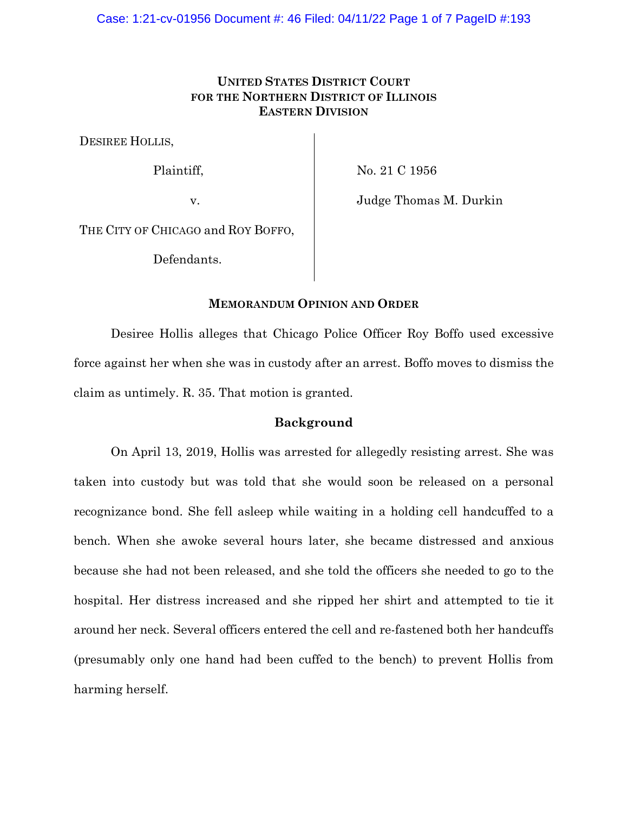# **UNITED STATES DISTRICT COURT FOR THE NORTHERN DISTRICT OF ILLINOIS EASTERN DIVISION**

DESIREE HOLLIS,

Plaintiff,

No. 21 C 1956

v.

Judge Thomas M. Durkin

THE CITY OF CHICAGO and ROY BOFFO,

Defendants.

### **MEMORANDUM OPINION AND ORDER**

Desiree Hollis alleges that Chicago Police Officer Roy Boffo used excessive force against her when she was in custody after an arrest. Boffo moves to dismiss the claim as untimely. R. 35. That motion is granted.

### **Background**

On April 13, 2019, Hollis was arrested for allegedly resisting arrest. She was taken into custody but was told that she would soon be released on a personal recognizance bond. She fell asleep while waiting in a holding cell handcuffed to a bench. When she awoke several hours later, she became distressed and anxious because she had not been released, and she told the officers she needed to go to the hospital. Her distress increased and she ripped her shirt and attempted to tie it around her neck. Several officers entered the cell and re-fastened both her handcuffs (presumably only one hand had been cuffed to the bench) to prevent Hollis from harming herself.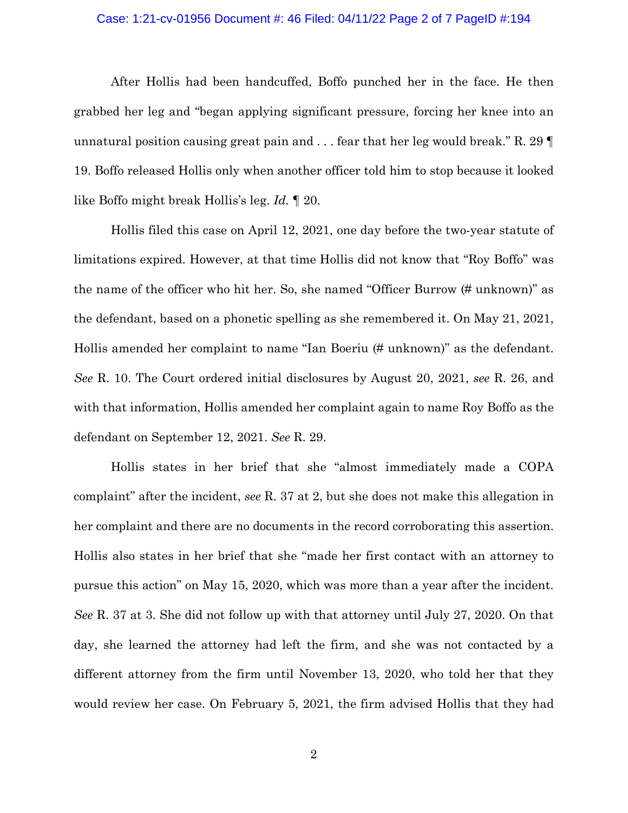#### Case: 1:21-cv-01956 Document #: 46 Filed: 04/11/22 Page 2 of 7 PageID #:194

After Hollis had been handcuffed, Boffo punched her in the face. He then grabbed her leg and "began applying significant pressure, forcing her knee into an unnatural position causing great pain and . . . fear that her leg would break." R. 29 ¶ 19. Boffo released Hollis only when another officer told him to stop because it looked like Boffo might break Hollis's leg. *Id.* ¶ 20.

Hollis filed this case on April 12, 2021, one day before the two-year statute of limitations expired. However, at that time Hollis did not know that "Roy Boffo" was the name of the officer who hit her. So, she named "Officer Burrow (# unknown)" as the defendant, based on a phonetic spelling as she remembered it. On May 21, 2021, Hollis amended her complaint to name "Ian Boeriu (# unknown)" as the defendant. *See* R. 10. The Court ordered initial disclosures by August 20, 2021, *see* R. 26, and with that information, Hollis amended her complaint again to name Roy Boffo as the defendant on September 12, 2021. *See* R. 29.

Hollis states in her brief that she "almost immediately made a COPA complaint" after the incident, *see* R. 37 at 2, but she does not make this allegation in her complaint and there are no documents in the record corroborating this assertion. Hollis also states in her brief that she "made her first contact with an attorney to pursue this action" on May 15, 2020, which was more than a year after the incident. *See* R. 37 at 3. She did not follow up with that attorney until July 27, 2020. On that day, she learned the attorney had left the firm, and she was not contacted by a different attorney from the firm until November 13, 2020, who told her that they would review her case. On February 5, 2021, the firm advised Hollis that they had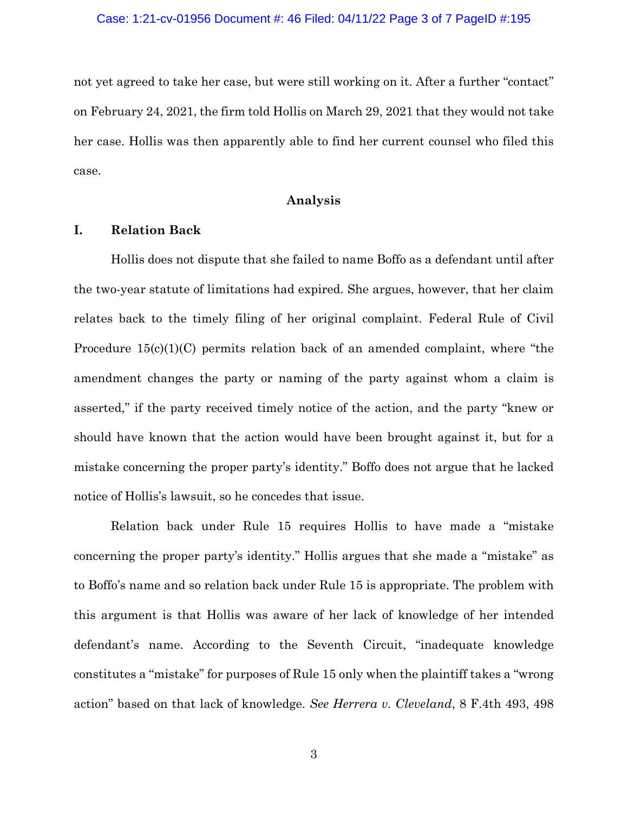not yet agreed to take her case, but were still working on it. After a further "contact" on February 24, 2021, the firm told Hollis on March 29, 2021 that they would not take her case. Hollis was then apparently able to find her current counsel who filed this case.

## **Analysis**

### **I. Relation Back**

Hollis does not dispute that she failed to name Boffo as a defendant until after the two-year statute of limitations had expired. She argues, however, that her claim relates back to the timely filing of her original complaint. Federal Rule of Civil Procedure  $15(c)(1)(C)$  permits relation back of an amended complaint, where "the amendment changes the party or naming of the party against whom a claim is asserted," if the party received timely notice of the action, and the party "knew or should have known that the action would have been brought against it, but for a mistake concerning the proper party's identity." Boffo does not argue that he lacked notice of Hollis's lawsuit, so he concedes that issue.

Relation back under Rule 15 requires Hollis to have made a "mistake concerning the proper party's identity." Hollis argues that she made a "mistake" as to Boffo's name and so relation back under Rule 15 is appropriate. The problem with this argument is that Hollis was aware of her lack of knowledge of her intended defendant's name. According to the Seventh Circuit, "inadequate knowledge constitutes a "mistake" for purposes of Rule 15 only when the plaintiff takes a "wrong action" based on that lack of knowledge. *See Herrera v. Cleveland*, 8 F.4th 493, 498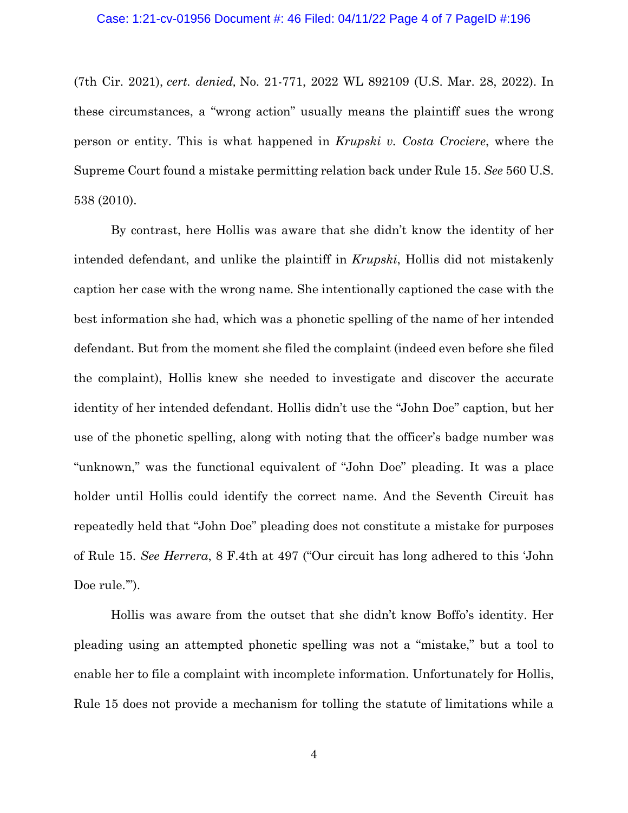(7th Cir. 2021), *cert. denied,* No. 21-771, 2022 WL 892109 (U.S. Mar. 28, 2022). In these circumstances, a "wrong action" usually means the plaintiff sues the wrong person or entity. This is what happened in *Krupski v. Costa Crociere*, where the Supreme Court found a mistake permitting relation back under Rule 15. *See* 560 U.S. 538 (2010).

By contrast, here Hollis was aware that she didn't know the identity of her intended defendant, and unlike the plaintiff in *Krupski*, Hollis did not mistakenly caption her case with the wrong name. She intentionally captioned the case with the best information she had, which was a phonetic spelling of the name of her intended defendant. But from the moment she filed the complaint (indeed even before she filed the complaint), Hollis knew she needed to investigate and discover the accurate identity of her intended defendant. Hollis didn't use the "John Doe" caption, but her use of the phonetic spelling, along with noting that the officer's badge number was "unknown," was the functional equivalent of "John Doe" pleading. It was a place holder until Hollis could identify the correct name. And the Seventh Circuit has repeatedly held that "John Doe" pleading does not constitute a mistake for purposes of Rule 15. *See Herrera*, 8 F.4th at 497 ("Our circuit has long adhered to this 'John Doe rule."").

Hollis was aware from the outset that she didn't know Boffo's identity. Her pleading using an attempted phonetic spelling was not a "mistake," but a tool to enable her to file a complaint with incomplete information. Unfortunately for Hollis, Rule 15 does not provide a mechanism for tolling the statute of limitations while a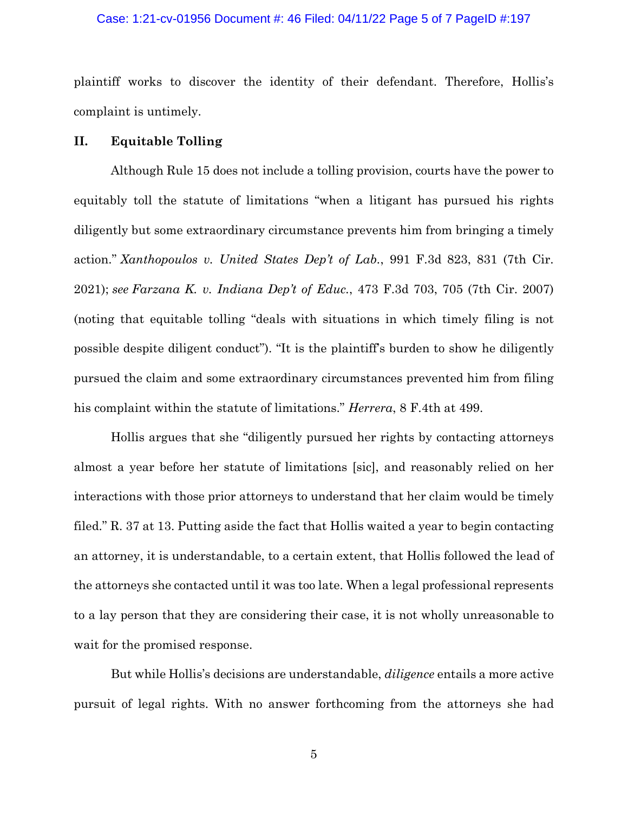#### Case: 1:21-cv-01956 Document #: 46 Filed: 04/11/22 Page 5 of 7 PageID #:197

plaintiff works to discover the identity of their defendant. Therefore, Hollis's complaint is untimely.

## **II. Equitable Tolling**

Although Rule 15 does not include a tolling provision, courts have the power to equitably toll the statute of limitations "when a litigant has pursued his rights diligently but some extraordinary circumstance prevents him from bringing a timely action." *Xanthopoulos v. United States Dep't of Lab.*, 991 F.3d 823, 831 (7th Cir. 2021); *see Farzana K. v. Indiana Dep't of Educ.*, 473 F.3d 703, 705 (7th Cir. 2007) (noting that equitable tolling "deals with situations in which timely filing is not possible despite diligent conduct"). "It is the plaintiff's burden to show he diligently pursued the claim and some extraordinary circumstances prevented him from filing his complaint within the statute of limitations." *Herrera*, 8 F.4th at 499.

Hollis argues that she "diligently pursued her rights by contacting attorneys almost a year before her statute of limitations [sic], and reasonably relied on her interactions with those prior attorneys to understand that her claim would be timely filed." R. 37 at 13. Putting aside the fact that Hollis waited a year to begin contacting an attorney, it is understandable, to a certain extent, that Hollis followed the lead of the attorneys she contacted until it was too late. When a legal professional represents to a lay person that they are considering their case, it is not wholly unreasonable to wait for the promised response.

But while Hollis's decisions are understandable, *diligence* entails a more active pursuit of legal rights. With no answer forthcoming from the attorneys she had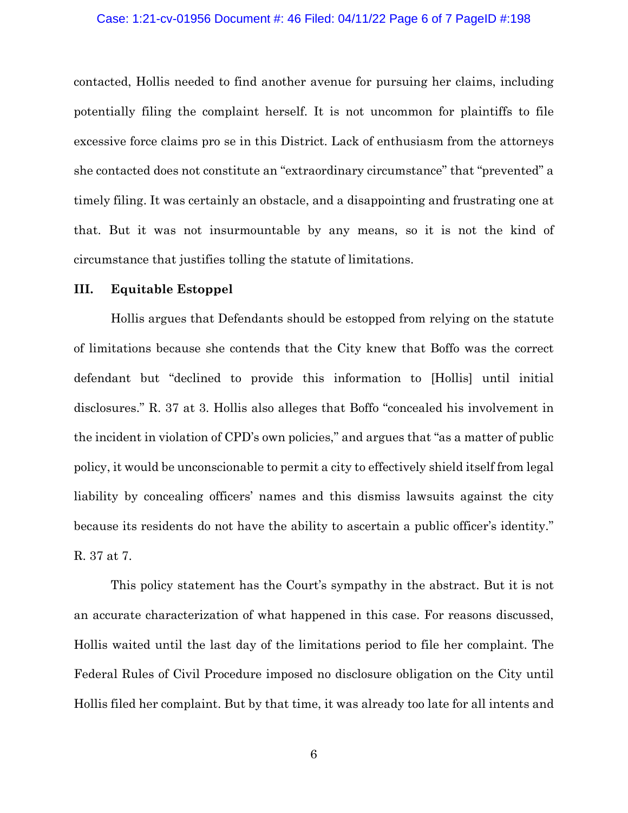#### Case: 1:21-cv-01956 Document #: 46 Filed: 04/11/22 Page 6 of 7 PageID #:198

contacted, Hollis needed to find another avenue for pursuing her claims, including potentially filing the complaint herself. It is not uncommon for plaintiffs to file excessive force claims pro se in this District. Lack of enthusiasm from the attorneys she contacted does not constitute an "extraordinary circumstance" that "prevented" a timely filing. It was certainly an obstacle, and a disappointing and frustrating one at that. But it was not insurmountable by any means, so it is not the kind of circumstance that justifies tolling the statute of limitations.

## **III. Equitable Estoppel**

Hollis argues that Defendants should be estopped from relying on the statute of limitations because she contends that the City knew that Boffo was the correct defendant but "declined to provide this information to [Hollis] until initial disclosures." R. 37 at 3. Hollis also alleges that Boffo "concealed his involvement in the incident in violation of CPD's own policies," and argues that "as a matter of public policy, it would be unconscionable to permit a city to effectively shield itself from legal liability by concealing officers' names and this dismiss lawsuits against the city because its residents do not have the ability to ascertain a public officer's identity." R. 37 at 7.

This policy statement has the Court's sympathy in the abstract. But it is not an accurate characterization of what happened in this case. For reasons discussed, Hollis waited until the last day of the limitations period to file her complaint. The Federal Rules of Civil Procedure imposed no disclosure obligation on the City until Hollis filed her complaint. But by that time, it was already too late for all intents and